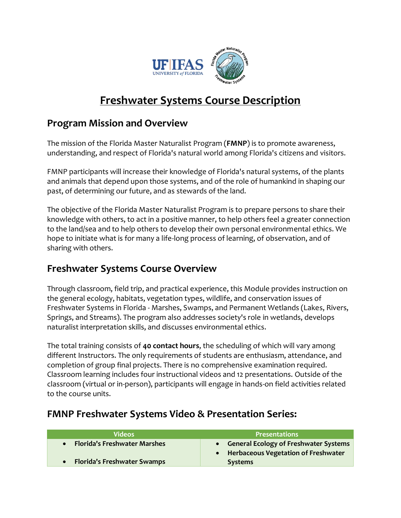

# **Freshwater Systems Course Description**

### **Program Mission and Overview**

The mission of the Florida Master Naturalist Program (**FMNP**) is to promote awareness, understanding, and respect of Florida's natural world among Florida's citizens and visitors.

FMNP participants will increase their knowledge of Florida's natural systems, of the plants and animals that depend upon those systems, and of the role of humankind in shaping our past, of determining our future, and as stewards of the land.

The objective of the Florida Master Naturalist Program is to prepare persons to share their knowledge with others, to act in a positive manner, to help others feel a greater connection to the land/sea and to help others to develop their own personal environmental ethics. We hope to initiate what is for many a life-long process of learning, of observation, and of sharing with others.

### **Freshwater Systems Course Overview**

Through classroom, field trip, and practical experience, this Module provides instruction on the general ecology, habitats, vegetation types, wildlife, and conservation issues of Freshwater Systems in Florida - Marshes, Swamps, and Permanent Wetlands (Lakes, Rivers, Springs, and Streams). The program also addresses society's role in wetlands, develops naturalist interpretation skills, and discusses environmental ethics.

The total training consists of **40 contact hours**, the scheduling of which will vary among different Instructors. The only requirements of students are enthusiasm, attendance, and completion of group final projects. There is no comprehensive examination required. Classroom learning includes four instructional videos and 12 presentations. Outside of the classroom (virtual or in-person), participants will engage in hands-on field activities related to the course units.

#### **Videos Presentations** • **Florida's Freshwater Marshes** • **Florida's Freshwater Swamps** • **General Ecology of Freshwater Systems** • **Herbaceous Vegetation of Freshwater Systems**

### **FMNP Freshwater Systems Video & Presentation Series:**